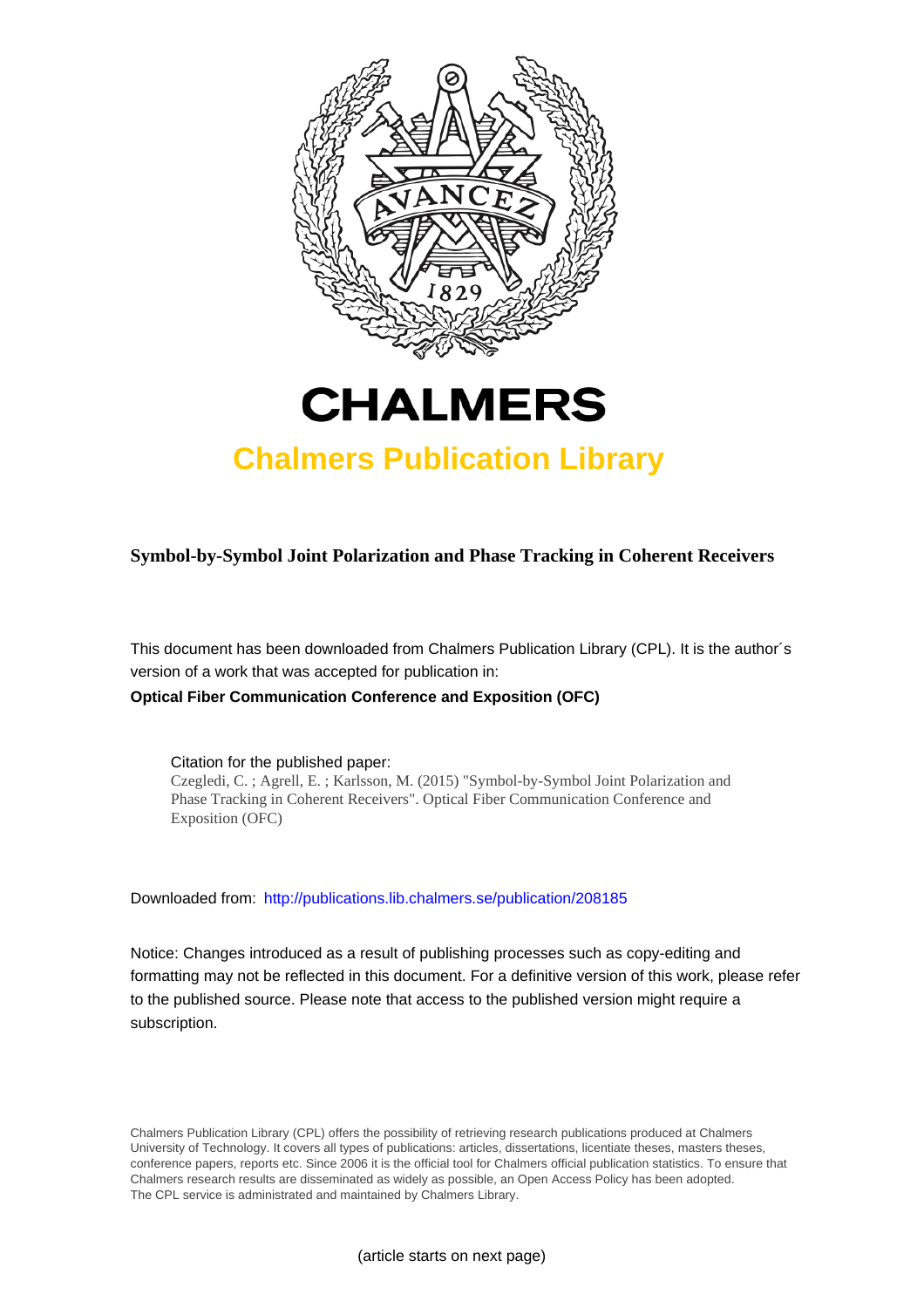



# **Chalmers Publication Library**

**Symbol-by-Symbol Joint Polarization and Phase Tracking in Coherent Receivers**

This document has been downloaded from Chalmers Publication Library (CPL). It is the author´s version of a work that was accepted for publication in: **Optical Fiber Communication Conference and Exposition (OFC)**

Citation for the published paper:

Czegledi, C. ; Agrell, E. ; Karlsson, M. (2015) "Symbol-by-Symbol Joint Polarization and Phase Tracking in Coherent Receivers". Optical Fiber Communication Conference and Exposition (OFC)

Downloaded from: <http://publications.lib.chalmers.se/publication/208185>

Notice: Changes introduced as a result of publishing processes such as copy-editing and formatting may not be reflected in this document. For a definitive version of this work, please refer to the published source. Please note that access to the published version might require a subscription.

Chalmers Publication Library (CPL) offers the possibility of retrieving research publications produced at Chalmers University of Technology. It covers all types of publications: articles, dissertations, licentiate theses, masters theses, conference papers, reports etc. Since 2006 it is the official tool for Chalmers official publication statistics. To ensure that Chalmers research results are disseminated as widely as possible, an Open Access Policy has been adopted. The CPL service is administrated and maintained by Chalmers Library.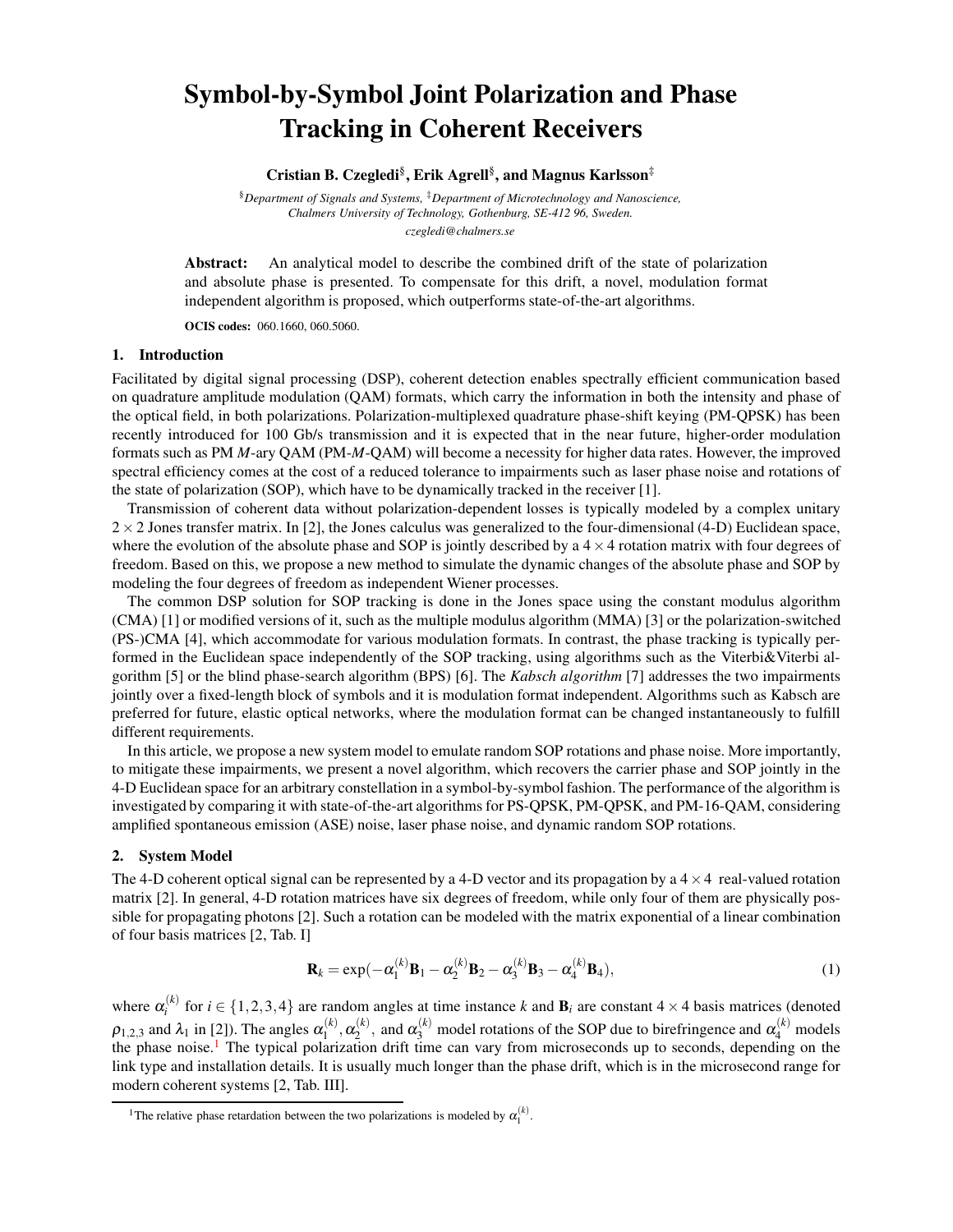## Symbol-by-Symbol Joint Polarization and Phase Tracking in Coherent Receivers

### Cristian B. Czegledi§ , Erik Agrell§ , and Magnus Karlsson‡

§*Department of Signals and Systems,* ‡*Department of Microtechnology and Nanoscience, Chalmers University of Technology, Gothenburg, SE-412 96, Sweden. czegledi@chalmers.se*

Abstract: An analytical model to describe the combined drift of the state of polarization and absolute phase is presented. To compensate for this drift, a novel, modulation format independent algorithm is proposed, which outperforms state-of-the-art algorithms.

OCIS codes: 060.1660, 060.5060.

#### 1. Introduction

Facilitated by digital signal processing (DSP), coherent detection enables spectrally efficient communication based on quadrature amplitude modulation (QAM) formats, which carry the information in both the intensity and phase of the optical field, in both polarizations. Polarization-multiplexed quadrature phase-shift keying (PM-QPSK) has been recently introduced for 100 Gb/s transmission and it is expected that in the near future, higher-order modulation formats such as PM *M*-ary QAM (PM-*M*-QAM) will become a necessity for higher data rates. However, the improved spectral efficiency comes at the cost of a reduced tolerance to impairments such as laser phase noise and rotations of the state of polarization (SOP), which have to be dynamically tracked in the receiver [1].

Transmission of coherent data without polarization-dependent losses is typically modeled by a complex unitary  $2 \times 2$  Jones transfer matrix. In [2], the Jones calculus was generalized to the four-dimensional (4-D) Euclidean space, where the evolution of the absolute phase and SOP is jointly described by a  $4 \times 4$  rotation matrix with four degrees of freedom. Based on this, we propose a new method to simulate the dynamic changes of the absolute phase and SOP by modeling the four degrees of freedom as independent Wiener processes.

The common DSP solution for SOP tracking is done in the Jones space using the constant modulus algorithm (CMA) [1] or modified versions of it, such as the multiple modulus algorithm (MMA) [3] or the polarization-switched (PS-)CMA [4], which accommodate for various modulation formats. In contrast, the phase tracking is typically performed in the Euclidean space independently of the SOP tracking, using algorithms such as the Viterbi&Viterbi algorithm [5] or the blind phase-search algorithm (BPS) [6]. The *Kabsch algorithm* [7] addresses the two impairments jointly over a fixed-length block of symbols and it is modulation format independent. Algorithms such as Kabsch are preferred for future, elastic optical networks, where the modulation format can be changed instantaneously to fulfill different requirements.

In this article, we propose a new system model to emulate random SOP rotations and phase noise. More importantly, to mitigate these impairments, we present a novel algorithm, which recovers the carrier phase and SOP jointly in the 4-D Euclidean space for an arbitrary constellation in a symbol-by-symbol fashion. The performance of the algorithm is investigated by comparing it with state-of-the-art algorithms for PS-QPSK, PM-QPSK, and PM-16-QAM, considering amplified spontaneous emission (ASE) noise, laser phase noise, and dynamic random SOP rotations.

#### 2. System Model

The 4-D coherent optical signal can be represented by a 4-D vector and its propagation by a  $4 \times 4$  real-valued rotation matrix [2]. In general, 4-D rotation matrices have six degrees of freedom, while only four of them are physically possible for propagating photons [2]. Such a rotation can be modeled with the matrix exponential of a linear combination of four basis matrices [2, Tab. I]

<span id="page-1-1"></span>
$$
\mathbf{R}_k = \exp(-\alpha_1^{(k)} \mathbf{B}_1 - \alpha_2^{(k)} \mathbf{B}_2 - \alpha_3^{(k)} \mathbf{B}_3 - \alpha_4^{(k)} \mathbf{B}_4),
$$
\n(1)

where  $\alpha_i^{(k)}$ <sup>*i*k</sup> for  $i \in \{1,2,3,4\}$  are random angles at time instance *k* and  $\mathbf{B}_i$  are constant 4 × 4 basis matrices (denoted  $\rho_{1,2,3}$  and  $\lambda_1$  in [2]). The angles  $\alpha_1^{(k)}$  $\alpha_1^{(k)},\alpha_2^{(k)}$  $\alpha_2^{(k)}$ , and  $\alpha_3^{(k)}$  model rotations of the SOP due to birefringence and  $\alpha_4^{(k)}$  models the phase noise.<sup>[1](#page-1-0)</sup> The typical polarization drift time can vary from microseconds up to seconds, depending on the link type and installation details. It is usually much longer than the phase drift, which is in the microsecond range for modern coherent systems [2, Tab. III].

<span id="page-1-0"></span><sup>&</sup>lt;sup>1</sup>The relative phase retardation between the two polarizations is modeled by  $\alpha_1^{(k)}$ .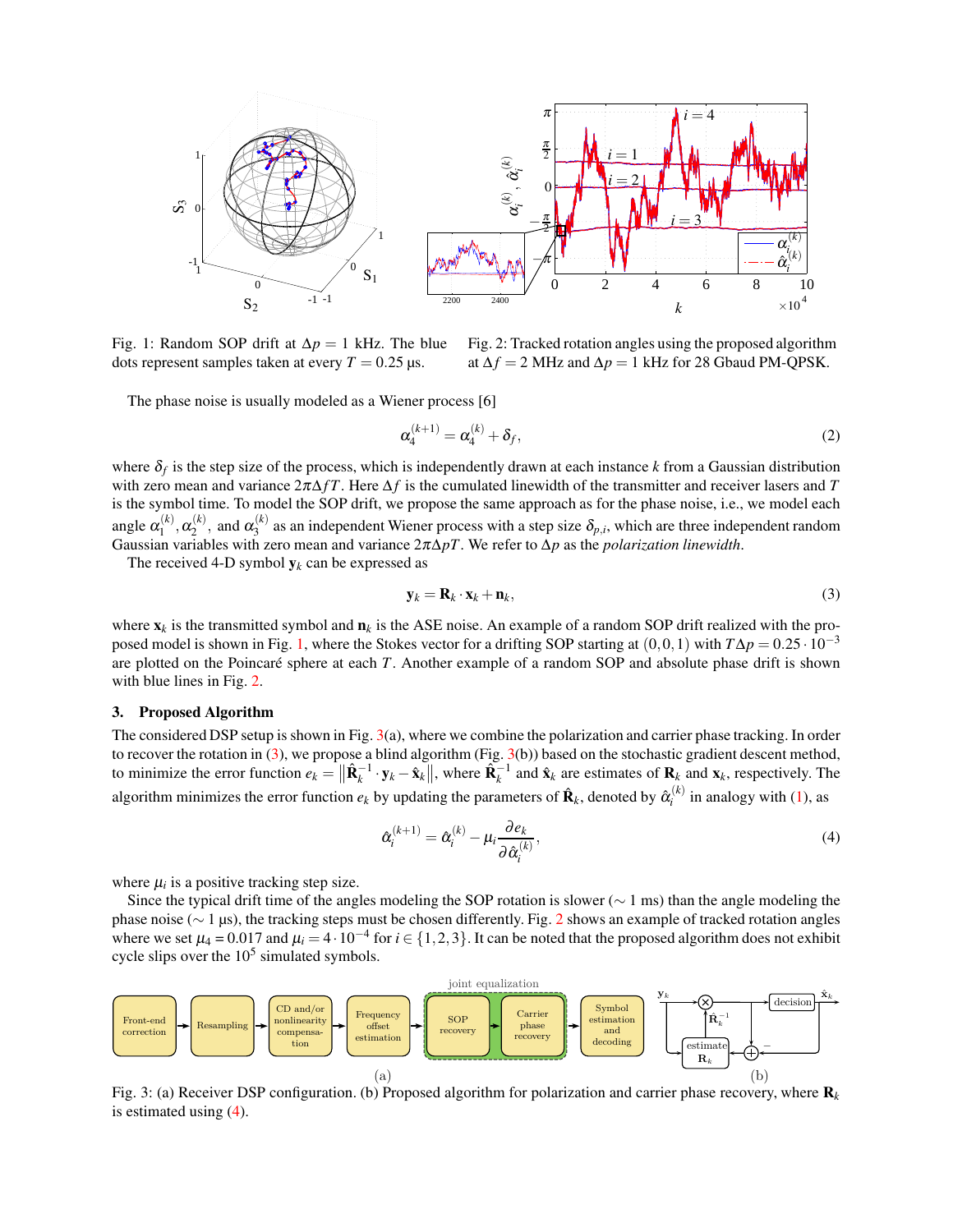<span id="page-2-0"></span>

Fig. 1: Random SOP drift at  $\Delta p = 1$  kHz. The blue dots represent samples taken at every  $T = 0.25 \,\mu s$ .

Fig. 2: Tracked rotation angles using the proposed algorithm at  $\Delta f = 2$  MHz and  $\Delta p = 1$  kHz for 28 Gbaud PM-QPSK.

The phase noise is usually modeled as a Wiener process [6]

$$
\alpha_4^{(k+1)} = \alpha_4^{(k)} + \delta_f,\tag{2}
$$

where  $\delta_f$  is the step size of the process, which is independently drawn at each instance  $k$  from a Gaussian distribution with zero mean and variance 2π∆*f T*. Here ∆*f* is the cumulated linewidth of the transmitter and receiver lasers and *T* is the symbol time. To model the SOP drift, we propose the same approach as for the phase noise, i.e., we model each angle  $\alpha_1^{(k)}$  $\alpha_1^{(k)},\alpha_2^{(k)}$  $\alpha_2^{(k)}$ , and  $\alpha_3^{(k)}$  $\delta_3^{(k)}$  as an independent Wiener process with a step size  $\delta_{p,i}$ , which are three independent random Gaussian variables with zero mean and variance 2π∆*pT*. We refer to ∆*p* as the *polarization linewidth*.

The received 4-D symbol  $y_k$  can be expressed as

<span id="page-2-2"></span>
$$
\mathbf{y}_k = \mathbf{R}_k \cdot \mathbf{x}_k + \mathbf{n}_k,\tag{3}
$$

where  $\mathbf{x}_k$  is the transmitted symbol and  $\mathbf{n}_k$  is the ASE noise. An example of a random SOP drift realized with the pro-posed model is shown in Fig. [1,](#page-2-0) where the Stokes vector for a drifting SOP starting at  $(0,0,1)$  with  $T\Delta p = 0.25 \cdot 10^{-3}$ are plotted on the Poincaré sphere at each *T*. Another example of a random SOP and absolute phase drift is shown with blue lines in Fig. [2.](#page-2-0)

#### 3. Proposed Algorithm

The considered DSP setup is shown in Fig. [3\(](#page-2-1)a), where we combine the polarization and carrier phase tracking. In order to recover the rotation in [\(3\)](#page-2-2), we propose a blind algorithm (Fig. [3\(](#page-2-1)b)) based on the stochastic gradient descent method, to minimize the error function  $e_k = ||\hat{\mathbf{R}}_k^{-1} \cdot \mathbf{y}_k - \hat{\mathbf{x}}_k||$ , where  $\hat{\mathbf{R}}_k^{-1}$  and  $\hat{\mathbf{x}}_k$  are estimates of  $\mathbf{R}_k$  and  $\mathbf{x}_k$ , respectively. The algorithm minimizes the error function  $e_k$  by updating the parameters of  $\mathbf{\hat{R}}_k$ , denoted by  $\hat{\alpha}_i^{(k)}$  $i_i^{(k)}$  in analogy with [\(1\)](#page-1-1), as

<span id="page-2-3"></span>
$$
\hat{\alpha}_i^{(k+1)} = \hat{\alpha}_i^{(k)} - \mu_i \frac{\partial e_k}{\partial \hat{\alpha}_i^{(k)}},\tag{4}
$$

where  $\mu_i$  is a positive tracking step size.

Since the typical drift time of the angles modeling the SOP rotation is slower ( $\sim 1$  ms) than the angle modeling the phase noise ( $\sim$  1 µs), the tracking steps must be chosen differently. Fig. [2](#page-2-0) shows an example of tracked rotation angles where we set  $\mu_4 = 0.017$  and  $\mu_i = 4 \cdot 10^{-4}$  for  $i \in \{1, 2, 3\}$ . It can be noted that the proposed algorithm does not exhibit cycle slips over the  $10<sup>5</sup>$  simulated symbols.

<span id="page-2-1"></span>

Fig. 3: (a) Receiver DSP configuration. (b) Proposed algorithm for polarization and carrier phase recovery, where R*<sup>k</sup>* is estimated using [\(4\)](#page-2-3).